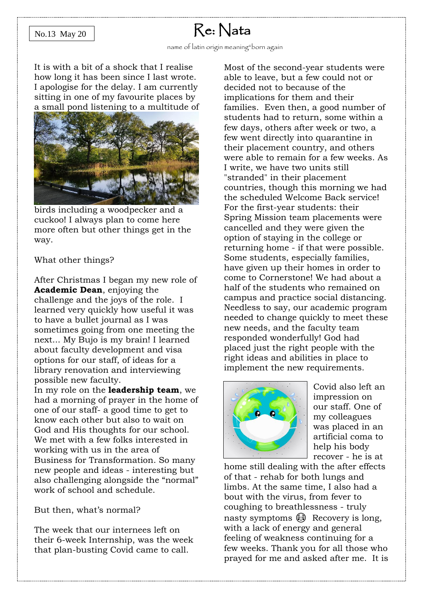#### No.13 May 20

## Re: Nata

It is with a bit of a shock that I realise how long it has been since I last wrote. I apologise for the delay. I am currently sitting in one of my favourite places by a small pond listening to a multitude of



birds including a woodpecker and a cuckoo! I always plan to come here more often but other things get in the way.

What other things?

After Christmas I began my new role of **Academic Dean**, enjoying the challenge and the joys of the role. I learned very quickly how useful it was to have a bullet journal as I was sometimes going from one meeting the next... My Bujo is my brain! I learned about faculty development and visa options for our staff, of ideas for a library renovation and interviewing possible new faculty.

In my role on the **leadership team**, we had a morning of prayer in the home of one of our staff- a good time to get to know each other but also to wait on God and His thoughts for our school. We met with a few folks interested in working with us in the area of Business for Transformation. So many new people and ideas - interesting but also challenging alongside the "normal" work of school and schedule.

But then, what's normal?

The week that our internees left on their 6-week Internship, was the week that plan-busting Covid came to call.

Most of the second-year students were able to leave, but a few could not or decided not to because of the implications for them and their families. Even then, a good number of students had to return, some within a few days, others after week or two, a few went directly into quarantine in their placement country, and others were able to remain for a few weeks. As I write, we have two units still "stranded" in their placement countries, though this morning we had the scheduled Welcome Back service! For the first-year students: their Spring Mission team placements were cancelled and they were given the option of staying in the college or returning home - if that were possible. Some students, especially families, have given up their homes in order to come to Cornerstone! We had about a half of the students who remained on campus and practice social distancing. Needless to say, our academic program needed to change quickly to meet these new needs, and the faculty team responded wonderfully! God had placed just the right people with the right ideas and abilities in place to implement the new requirements.



Covid also left an impression on our staff. One of my colleagues was placed in an artificial coma to help his body recover - he is at

home still dealing with the after effects of that - rehab for both lungs and limbs. At the same time, I also had a bout with the virus, from fever to coughing to breathlessness - truly nasty symptoms  $\circled{S}$  Recovery is long, with a lack of energy and general feeling of weakness continuing for a few weeks. Thank you for all those who prayed for me and asked after me. It is